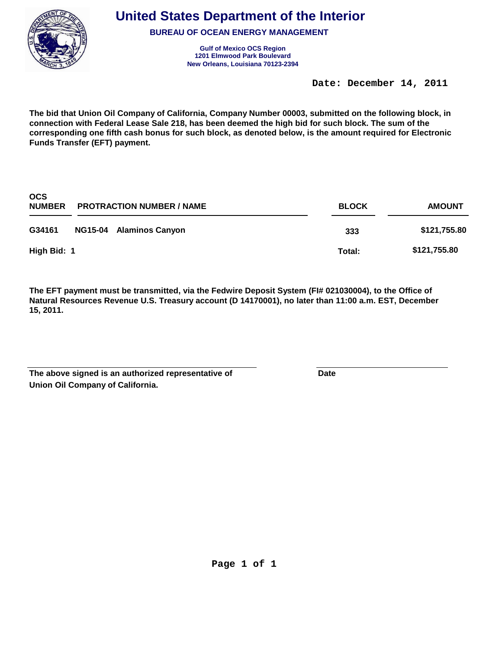

**BUREAU OF OCEAN ENERGY MANAGEMENT**

**Gulf of Mexico OCS Region New Orleans, Louisiana 70123-2394 1201 Elmwood Park Boulevard**

**Date: December 14, 2011** 

**The bid that Union Oil Company of California, Company Number 00003, submitted on the following block, in connection with Federal Lease Sale 218, has been deemed the high bid for such block. The sum of the corresponding one fifth cash bonus for such block, as denoted below, is the amount required for Electronic Funds Transfer (EFT) payment.**

| <b>OCS</b><br><b>NUMBER</b> | <b>PROTRACTION NUMBER / NAME</b> | <b>BLOCK</b> | <b>AMOUNT</b> |
|-----------------------------|----------------------------------|--------------|---------------|
| G34161                      | NG15-04 Alaminos Canyon          | 333          | \$121,755.80  |
| High Bid: 1                 |                                  | Total:       | \$121,755.80  |

| The above signed is an authorized representative of | Date |
|-----------------------------------------------------|------|
| Union Oil Company of California.                    |      |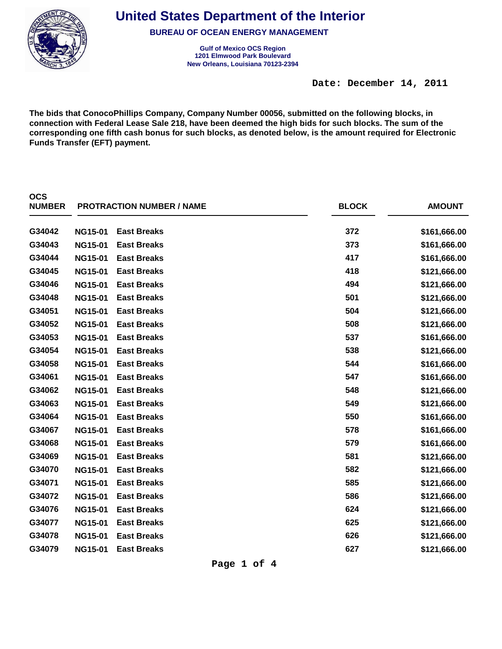

**BUREAU OF OCEAN ENERGY MANAGEMENT**

**Gulf of Mexico OCS Region New Orleans, Louisiana 70123-2394 1201 Elmwood Park Boulevard**

**Date: December 14, 2011** 

**The bids that ConocoPhillips Company, Company Number 00056, submitted on the following blocks, in connection with Federal Lease Sale 218, have been deemed the high bids for such blocks. The sum of the corresponding one fifth cash bonus for such blocks, as denoted below, is the amount required for Electronic Funds Transfer (EFT) payment.**

| <b>OCS</b><br><b>NUMBER</b> |                | <b>PROTRACTION NUMBER / NAME</b> | <b>BLOCK</b> | <b>AMOUNT</b> |
|-----------------------------|----------------|----------------------------------|--------------|---------------|
| G34042                      | <b>NG15-01</b> | <b>East Breaks</b>               | 372          | \$161,666.00  |
| G34043                      | <b>NG15-01</b> | <b>East Breaks</b>               | 373          | \$161,666.00  |
| G34044                      | <b>NG15-01</b> | <b>East Breaks</b>               | 417          | \$161,666.00  |
| G34045                      | <b>NG15-01</b> | <b>East Breaks</b>               | 418          | \$121,666.00  |
| G34046                      | <b>NG15-01</b> | <b>East Breaks</b>               | 494          | \$121,666.00  |
| G34048                      | <b>NG15-01</b> | <b>East Breaks</b>               | 501          | \$121,666.00  |
| G34051                      | <b>NG15-01</b> | <b>East Breaks</b>               | 504          | \$121,666.00  |
| G34052                      | <b>NG15-01</b> | <b>East Breaks</b>               | 508          | \$121,666.00  |
| G34053                      | <b>NG15-01</b> | <b>East Breaks</b>               | 537          | \$161,666.00  |
| G34054                      | <b>NG15-01</b> | <b>East Breaks</b>               | 538          | \$121,666.00  |
| G34058                      | <b>NG15-01</b> | <b>East Breaks</b>               | 544          | \$161,666.00  |
| G34061                      | <b>NG15-01</b> | <b>East Breaks</b>               | 547          | \$161,666.00  |
| G34062                      | <b>NG15-01</b> | <b>East Breaks</b>               | 548          | \$121,666.00  |
| G34063                      | <b>NG15-01</b> | <b>East Breaks</b>               | 549          | \$121,666.00  |
| G34064                      | <b>NG15-01</b> | <b>East Breaks</b>               | 550          | \$161,666.00  |
| G34067                      | <b>NG15-01</b> | <b>East Breaks</b>               | 578          | \$161,666.00  |
| G34068                      | <b>NG15-01</b> | <b>East Breaks</b>               | 579          | \$161,666.00  |
| G34069                      | <b>NG15-01</b> | <b>East Breaks</b>               | 581          | \$121,666.00  |
| G34070                      | <b>NG15-01</b> | <b>East Breaks</b>               | 582          | \$121,666.00  |
| G34071                      | <b>NG15-01</b> | <b>East Breaks</b>               | 585          | \$121,666.00  |
| G34072                      | <b>NG15-01</b> | <b>East Breaks</b>               | 586          | \$121,666.00  |
| G34076                      | <b>NG15-01</b> | <b>East Breaks</b>               | 624          | \$121,666.00  |
| G34077                      | <b>NG15-01</b> | <b>East Breaks</b>               | 625          | \$121,666.00  |
| G34078                      | <b>NG15-01</b> | <b>East Breaks</b>               | 626          | \$121,666.00  |
| G34079                      | <b>NG15-01</b> | <b>East Breaks</b>               | 627          | \$121,666.00  |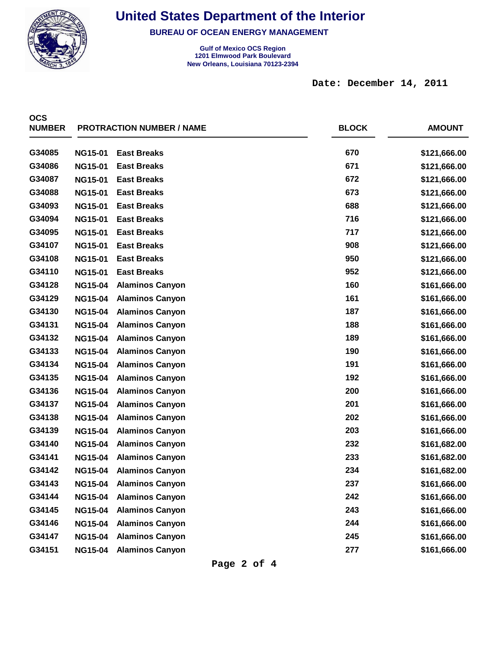

**BUREAU OF OCEAN ENERGY MANAGEMENT**

**Gulf of Mexico OCS Region New Orleans, Louisiana 70123-2394 1201 Elmwood Park Boulevard**

**Date: December 14, 2011** 

| <b>OCS</b><br><b>NUMBER</b> |                | <b>PROTRACTION NUMBER / NAME</b> | <b>BLOCK</b> | <b>AMOUNT</b> |
|-----------------------------|----------------|----------------------------------|--------------|---------------|
| G34085                      | <b>NG15-01</b> | <b>East Breaks</b>               | 670          | \$121,666.00  |
| G34086                      | <b>NG15-01</b> | <b>East Breaks</b>               | 671          | \$121,666.00  |
| G34087                      | <b>NG15-01</b> | <b>East Breaks</b>               | 672          | \$121,666.00  |
| G34088                      | <b>NG15-01</b> | <b>East Breaks</b>               | 673          | \$121,666.00  |
| G34093                      | <b>NG15-01</b> | <b>East Breaks</b>               | 688          | \$121,666.00  |
| G34094                      | <b>NG15-01</b> | <b>East Breaks</b>               | 716          | \$121,666.00  |
| G34095                      | <b>NG15-01</b> | <b>East Breaks</b>               | 717          | \$121,666.00  |
| G34107                      | <b>NG15-01</b> | <b>East Breaks</b>               | 908          | \$121,666.00  |
| G34108                      | <b>NG15-01</b> | <b>East Breaks</b>               | 950          | \$121,666.00  |
| G34110                      | <b>NG15-01</b> | <b>East Breaks</b>               | 952          | \$121,666.00  |
| G34128                      | <b>NG15-04</b> | <b>Alaminos Canyon</b>           | 160          | \$161,666.00  |
| G34129                      | <b>NG15-04</b> | <b>Alaminos Canyon</b>           | 161          | \$161,666.00  |
| G34130                      | <b>NG15-04</b> | <b>Alaminos Canyon</b>           | 187          | \$161,666.00  |
| G34131                      | <b>NG15-04</b> | <b>Alaminos Canyon</b>           | 188          | \$161,666.00  |
| G34132                      | <b>NG15-04</b> | <b>Alaminos Canyon</b>           | 189          | \$161,666.00  |
| G34133                      | <b>NG15-04</b> | <b>Alaminos Canyon</b>           | 190          | \$161,666.00  |
| G34134                      | <b>NG15-04</b> | <b>Alaminos Canyon</b>           | 191          | \$161,666.00  |
| G34135                      | <b>NG15-04</b> | <b>Alaminos Canyon</b>           | 192          | \$161,666.00  |
| G34136                      | <b>NG15-04</b> | <b>Alaminos Canyon</b>           | 200          | \$161,666.00  |
| G34137                      | <b>NG15-04</b> | <b>Alaminos Canyon</b>           | 201          | \$161,666.00  |
| G34138                      | <b>NG15-04</b> | <b>Alaminos Canyon</b>           | 202          | \$161,666.00  |
| G34139                      | <b>NG15-04</b> | <b>Alaminos Canyon</b>           | 203          | \$161,666.00  |
| G34140                      | <b>NG15-04</b> | <b>Alaminos Canyon</b>           | 232          | \$161,682.00  |
| G34141                      | <b>NG15-04</b> | <b>Alaminos Canyon</b>           | 233          | \$161,682.00  |
| G34142                      | <b>NG15-04</b> | <b>Alaminos Canyon</b>           | 234          | \$161,682.00  |
| G34143                      | <b>NG15-04</b> | <b>Alaminos Canyon</b>           | 237          | \$161,666.00  |
| G34144                      | <b>NG15-04</b> | <b>Alaminos Canyon</b>           | 242          | \$161,666.00  |
| G34145                      | <b>NG15-04</b> | <b>Alaminos Canyon</b>           | 243          | \$161,666.00  |
| G34146                      | <b>NG15-04</b> | <b>Alaminos Canyon</b>           | 244          | \$161,666.00  |
| G34147                      | <b>NG15-04</b> | <b>Alaminos Canyon</b>           | 245          | \$161,666.00  |
| G34151                      | <b>NG15-04</b> | <b>Alaminos Canyon</b>           | 277          | \$161,666.00  |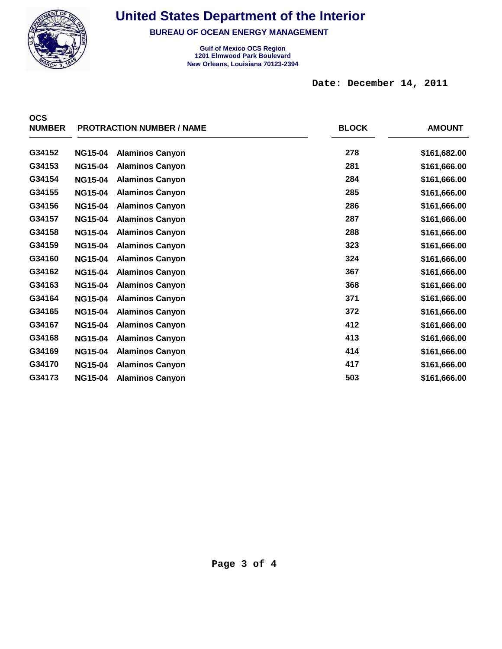

**BUREAU OF OCEAN ENERGY MANAGEMENT**

**Gulf of Mexico OCS Region New Orleans, Louisiana 70123-2394 1201 Elmwood Park Boulevard**

**Date: December 14, 2011** 

| <b>OCS</b><br><b>NUMBER</b> |                | <b>PROTRACTION NUMBER / NAME</b> | <b>BLOCK</b> | <b>AMOUNT</b> |
|-----------------------------|----------------|----------------------------------|--------------|---------------|
| G34152                      | <b>NG15-04</b> | <b>Alaminos Canyon</b>           | 278          | \$161,682.00  |
| G34153                      | <b>NG15-04</b> | <b>Alaminos Canyon</b>           | 281          | \$161,666.00  |
| G34154                      | <b>NG15-04</b> | <b>Alaminos Canyon</b>           | 284          | \$161,666.00  |
| G34155                      | <b>NG15-04</b> | <b>Alaminos Canyon</b>           | 285          | \$161,666.00  |
| G34156                      | <b>NG15-04</b> | <b>Alaminos Canyon</b>           | 286          | \$161,666.00  |
| G34157                      | <b>NG15-04</b> | <b>Alaminos Canyon</b>           | 287          | \$161,666.00  |
| G34158                      | <b>NG15-04</b> | <b>Alaminos Canyon</b>           | 288          | \$161,666.00  |
| G34159                      | <b>NG15-04</b> | <b>Alaminos Canyon</b>           | 323          | \$161,666.00  |
| G34160                      | <b>NG15-04</b> | <b>Alaminos Canyon</b>           | 324          | \$161,666.00  |
| G34162                      | <b>NG15-04</b> | <b>Alaminos Canyon</b>           | 367          | \$161,666.00  |
| G34163                      | <b>NG15-04</b> | <b>Alaminos Canyon</b>           | 368          | \$161,666.00  |
| G34164                      | <b>NG15-04</b> | <b>Alaminos Canyon</b>           | 371          | \$161,666.00  |
| G34165                      | <b>NG15-04</b> | <b>Alaminos Canyon</b>           | 372          | \$161,666.00  |
| G34167                      | <b>NG15-04</b> | <b>Alaminos Canyon</b>           | 412          | \$161,666.00  |
| G34168                      | <b>NG15-04</b> | <b>Alaminos Canyon</b>           | 413          | \$161,666.00  |
| G34169                      | <b>NG15-04</b> | <b>Alaminos Canyon</b>           | 414          | \$161,666.00  |
| G34170                      | <b>NG15-04</b> | <b>Alaminos Canyon</b>           | 417          | \$161,666.00  |
| G34173                      | <b>NG15-04</b> | <b>Alaminos Canyon</b>           | 503          | \$161,666.00  |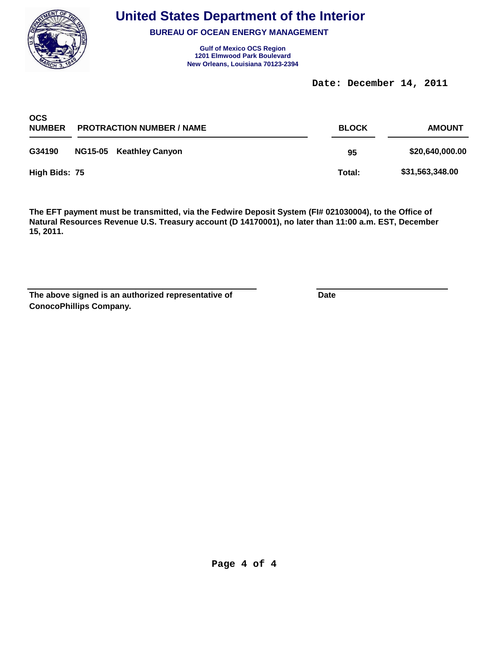

**BUREAU OF OCEAN ENERGY MANAGEMENT**

**Gulf of Mexico OCS Region New Orleans, Louisiana 70123-2394 1201 Elmwood Park Boulevard**

**Date: December 14, 2011** 

| <b>OCS</b><br><b>NUMBER</b><br><b>PROTRACTION NUMBER / NAME</b> |  |                         | <b>BLOCK</b> | <b>AMOUNT</b>   |  |
|-----------------------------------------------------------------|--|-------------------------|--------------|-----------------|--|
| G34190                                                          |  | NG15-05 Keathley Canyon | 95           | \$20,640,000.00 |  |
| High Bids: 75                                                   |  |                         | Total:       | \$31,563,348.00 |  |

**The EFT payment must be transmitted, via the Fedwire Deposit System (FI# 021030004), to the Office of Natural Resources Revenue U.S. Treasury account (D 14170001), no later than 11:00 a.m. EST, December 15, 2011.**

**ConocoPhillips Company. The above signed is an authorized representative of Date**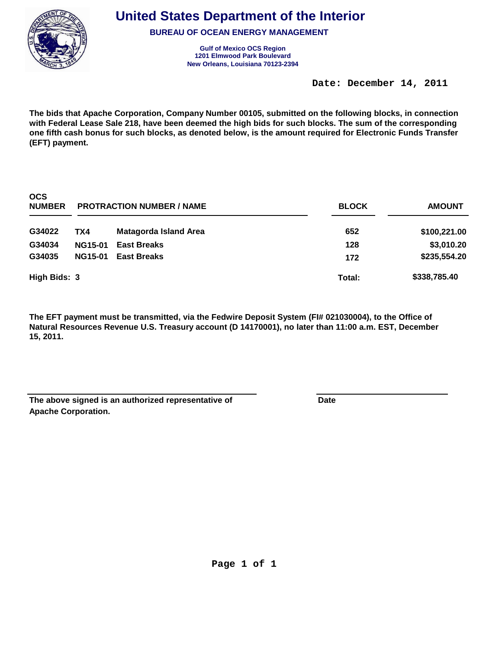

**BUREAU OF OCEAN ENERGY MANAGEMENT**

**Gulf of Mexico OCS Region New Orleans, Louisiana 70123-2394 1201 Elmwood Park Boulevard**

**Date: December 14, 2011** 

**The bids that Apache Corporation, Company Number 00105, submitted on the following blocks, in connection with Federal Lease Sale 218, have been deemed the high bids for such blocks. The sum of the corresponding one fifth cash bonus for such blocks, as denoted below, is the amount required for Electronic Funds Transfer (EFT) payment.**

| <b>OCS</b><br><b>NUMBER</b> | <b>PROTRACTION NUMBER / NAME</b> |                       | <b>BLOCK</b> | <b>AMOUNT</b> |
|-----------------------------|----------------------------------|-----------------------|--------------|---------------|
| G34022                      | TX4                              | Matagorda Island Area | 652          | \$100,221.00  |
| G34034                      | <b>NG15-01</b>                   | <b>East Breaks</b>    | 128          | \$3,010.20    |
| G34035                      | <b>NG15-01</b>                   | <b>East Breaks</b>    | 172          | \$235,554.20  |
| High Bids: 3                |                                  |                       | Total:       | \$338,785.40  |

| The above signed is an authorized representative of | Date |
|-----------------------------------------------------|------|
| <b>Apache Corporation.</b>                          |      |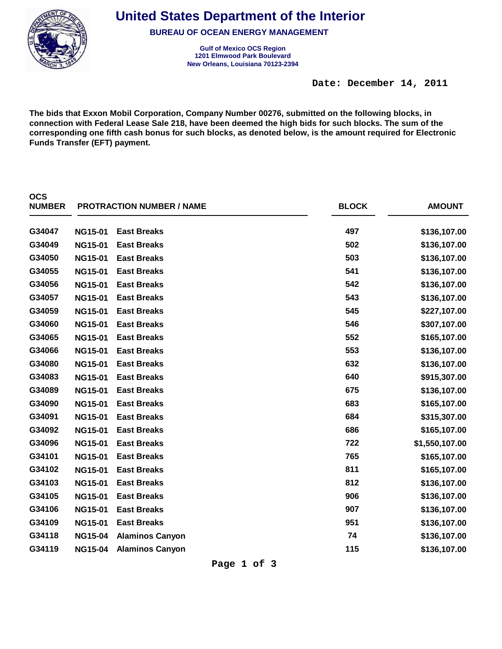

**BUREAU OF OCEAN ENERGY MANAGEMENT**

**Gulf of Mexico OCS Region New Orleans, Louisiana 70123-2394 1201 Elmwood Park Boulevard**

**Date: December 14, 2011** 

**The bids that Exxon Mobil Corporation, Company Number 00276, submitted on the following blocks, in connection with Federal Lease Sale 218, have been deemed the high bids for such blocks. The sum of the corresponding one fifth cash bonus for such blocks, as denoted below, is the amount required for Electronic Funds Transfer (EFT) payment.**

| <b>OCS</b><br><b>NUMBER</b> |                | <b>PROTRACTION NUMBER / NAME</b> | <b>BLOCK</b> | <b>AMOUNT</b>  |
|-----------------------------|----------------|----------------------------------|--------------|----------------|
| G34047                      | <b>NG15-01</b> | <b>East Breaks</b>               | 497          | \$136,107.00   |
| G34049                      | <b>NG15-01</b> | <b>East Breaks</b>               | 502          | \$136,107.00   |
| G34050                      | <b>NG15-01</b> | <b>East Breaks</b>               | 503          | \$136,107.00   |
| G34055                      | <b>NG15-01</b> | <b>East Breaks</b>               | 541          | \$136,107.00   |
| G34056                      | <b>NG15-01</b> | <b>East Breaks</b>               | 542          | \$136,107.00   |
| G34057                      | <b>NG15-01</b> | <b>East Breaks</b>               | 543          | \$136,107.00   |
| G34059                      | <b>NG15-01</b> | <b>East Breaks</b>               | 545          | \$227,107.00   |
| G34060                      | <b>NG15-01</b> | <b>East Breaks</b>               | 546          | \$307,107.00   |
| G34065                      | <b>NG15-01</b> | <b>East Breaks</b>               | 552          | \$165,107.00   |
| G34066                      | <b>NG15-01</b> | <b>East Breaks</b>               | 553          | \$136,107.00   |
| G34080                      | <b>NG15-01</b> | <b>East Breaks</b>               | 632          | \$136,107.00   |
| G34083                      | <b>NG15-01</b> | <b>East Breaks</b>               | 640          | \$915,307.00   |
| G34089                      | <b>NG15-01</b> | <b>East Breaks</b>               | 675          | \$136,107.00   |
| G34090                      | <b>NG15-01</b> | <b>East Breaks</b>               | 683          | \$165,107.00   |
| G34091                      | <b>NG15-01</b> | <b>East Breaks</b>               | 684          | \$315,307.00   |
| G34092                      | <b>NG15-01</b> | <b>East Breaks</b>               | 686          | \$165,107.00   |
| G34096                      | <b>NG15-01</b> | <b>East Breaks</b>               | 722          | \$1,550,107.00 |
| G34101                      | <b>NG15-01</b> | <b>East Breaks</b>               | 765          | \$165,107.00   |
| G34102                      | <b>NG15-01</b> | <b>East Breaks</b>               | 811          | \$165,107.00   |
| G34103                      | <b>NG15-01</b> | <b>East Breaks</b>               | 812          | \$136,107.00   |
| G34105                      | <b>NG15-01</b> | <b>East Breaks</b>               | 906          | \$136,107.00   |
| G34106                      | <b>NG15-01</b> | <b>East Breaks</b>               | 907          | \$136,107.00   |
| G34109                      | <b>NG15-01</b> | <b>East Breaks</b>               | 951          | \$136,107.00   |
| G34118                      | <b>NG15-04</b> | <b>Alaminos Canyon</b>           | 74           | \$136,107.00   |
| G34119                      | <b>NG15-04</b> | <b>Alaminos Canyon</b>           | 115          | \$136,107.00   |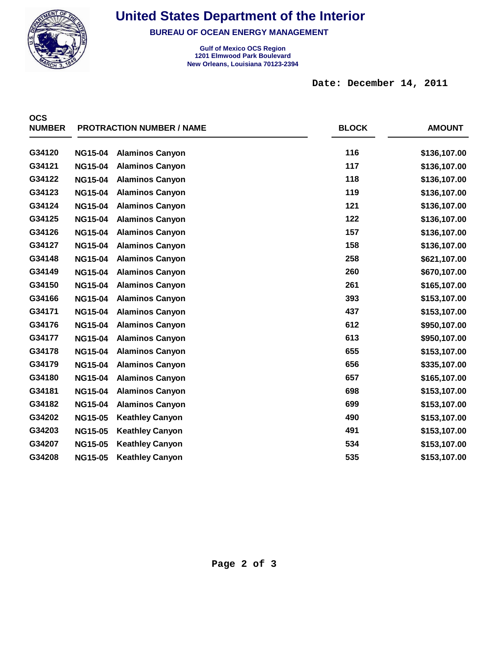

 $\overline{O}$ 

## **United States Department of the Interior**

**BUREAU OF OCEAN ENERGY MANAGEMENT**

**Gulf of Mexico OCS Region New Orleans, Louisiana 70123-2394 1201 Elmwood Park Boulevard**

**Date: December 14, 2011** 

| uuo<br><b>NUMBER</b> |                | <b>PROTRACTION NUMBER / NAME</b> | <b>BLOCK</b> | <b>AMOUNT</b> |
|----------------------|----------------|----------------------------------|--------------|---------------|
| G34120               | <b>NG15-04</b> | <b>Alaminos Canyon</b>           | 116          | \$136,107.00  |
| G34121               | <b>NG15-04</b> | <b>Alaminos Canyon</b>           | 117          | \$136,107.00  |
| G34122               | <b>NG15-04</b> | <b>Alaminos Canyon</b>           | 118          | \$136,107.00  |
| G34123               | <b>NG15-04</b> | <b>Alaminos Canyon</b>           | 119          | \$136,107.00  |
| G34124               | <b>NG15-04</b> | <b>Alaminos Canyon</b>           | 121          | \$136,107.00  |
| G34125               | <b>NG15-04</b> | <b>Alaminos Canyon</b>           | 122          | \$136,107.00  |
| G34126               | <b>NG15-04</b> | <b>Alaminos Canyon</b>           | 157          | \$136,107.00  |
| G34127               | <b>NG15-04</b> | <b>Alaminos Canyon</b>           | 158          | \$136,107.00  |
| G34148               | <b>NG15-04</b> | <b>Alaminos Canyon</b>           | 258          | \$621,107.00  |
| G34149               | <b>NG15-04</b> | <b>Alaminos Canyon</b>           | 260          | \$670,107.00  |
| G34150               | <b>NG15-04</b> | <b>Alaminos Canyon</b>           | 261          | \$165,107.00  |
| G34166               | <b>NG15-04</b> | <b>Alaminos Canyon</b>           | 393          | \$153,107.00  |
| G34171               | <b>NG15-04</b> | <b>Alaminos Canyon</b>           | 437          | \$153,107.00  |
| G34176               | <b>NG15-04</b> | <b>Alaminos Canyon</b>           | 612          | \$950,107.00  |
| G34177               | <b>NG15-04</b> | <b>Alaminos Canyon</b>           | 613          | \$950,107.00  |
| G34178               | <b>NG15-04</b> | <b>Alaminos Canyon</b>           | 655          | \$153,107.00  |
| G34179               | <b>NG15-04</b> | <b>Alaminos Canyon</b>           | 656          | \$335,107.00  |
| G34180               | <b>NG15-04</b> | <b>Alaminos Canyon</b>           | 657          | \$165,107.00  |
| G34181               | <b>NG15-04</b> | <b>Alaminos Canyon</b>           | 698          | \$153,107.00  |
| G34182               | <b>NG15-04</b> | <b>Alaminos Canyon</b>           | 699          | \$153,107.00  |
| G34202               | <b>NG15-05</b> | <b>Keathley Canyon</b>           | 490          | \$153,107.00  |
| G34203               | <b>NG15-05</b> | <b>Keathley Canyon</b>           | 491          | \$153,107.00  |
| G34207               | <b>NG15-05</b> | <b>Keathley Canyon</b>           | 534          | \$153,107.00  |
| G34208               | <b>NG15-05</b> | <b>Keathley Canyon</b>           | 535          | \$153,107.00  |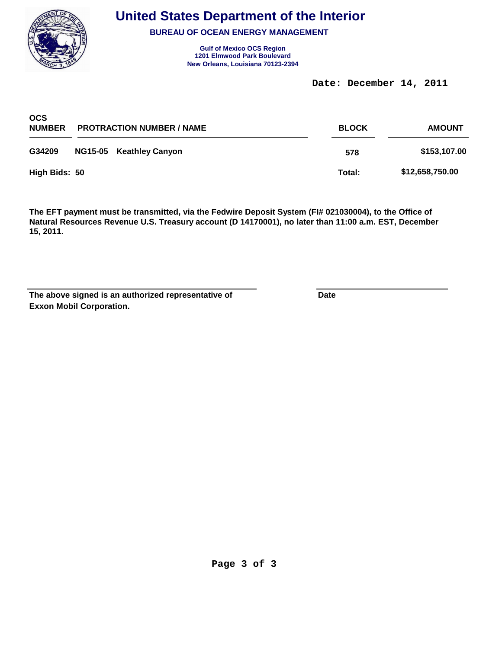

**BUREAU OF OCEAN ENERGY MANAGEMENT**

**Gulf of Mexico OCS Region New Orleans, Louisiana 70123-2394 1201 Elmwood Park Boulevard**

**Date: December 14, 2011** 

| <b>OCS</b><br><b>NUMBER</b> | <b>PROTRACTION NUMBER / NAME</b> |                         | <b>BLOCK</b> | <b>AMOUNT</b>   |  |
|-----------------------------|----------------------------------|-------------------------|--------------|-----------------|--|
| G34209                      |                                  | NG15-05 Keathley Canyon | 578          | \$153,107.00    |  |
| High Bids: 50               |                                  |                         | Total:       | \$12,658,750.00 |  |

**The EFT payment must be transmitted, via the Fedwire Deposit System (FI# 021030004), to the Office of Natural Resources Revenue U.S. Treasury account (D 14170001), no later than 11:00 a.m. EST, December 15, 2011.**

**Exxon Mobil Corporation.** The above signed is an authorized representative of **Date**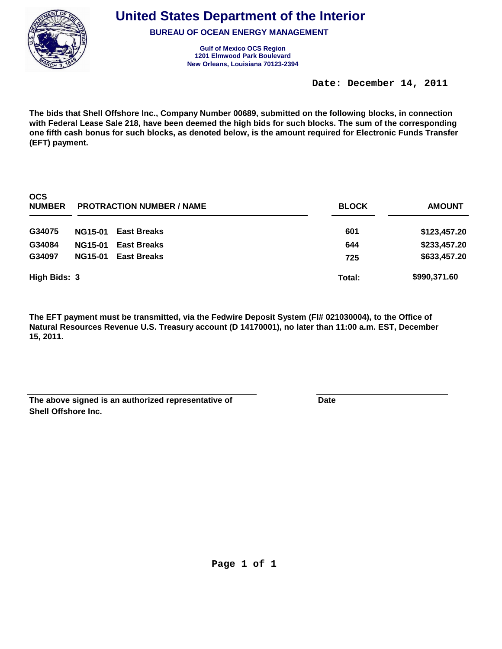

**BUREAU OF OCEAN ENERGY MANAGEMENT**

**Gulf of Mexico OCS Region New Orleans, Louisiana 70123-2394 1201 Elmwood Park Boulevard**

**Date: December 14, 2011** 

**The bids that Shell Offshore Inc., Company Number 00689, submitted on the following blocks, in connection with Federal Lease Sale 218, have been deemed the high bids for such blocks. The sum of the corresponding one fifth cash bonus for such blocks, as denoted below, is the amount required for Electronic Funds Transfer (EFT) payment.**

| <b>OCS</b><br><b>NUMBER</b> | <b>PROTRACTION NUMBER / NAME</b> |                    | <b>BLOCK</b> | <b>AMOUNT</b> |
|-----------------------------|----------------------------------|--------------------|--------------|---------------|
| G34075                      | <b>NG15-01</b>                   | <b>East Breaks</b> | 601          | \$123,457.20  |
| G34084                      | <b>NG15-01</b>                   | <b>East Breaks</b> | 644          | \$233,457.20  |
| G34097                      | <b>NG15-01</b>                   | <b>East Breaks</b> | 725          | \$633,457.20  |
| High Bids: 3                |                                  |                    | Total:       | \$990,371.60  |

| The above signed is an authorized representative of | Date |
|-----------------------------------------------------|------|
| <b>Shell Offshore Inc.</b>                          |      |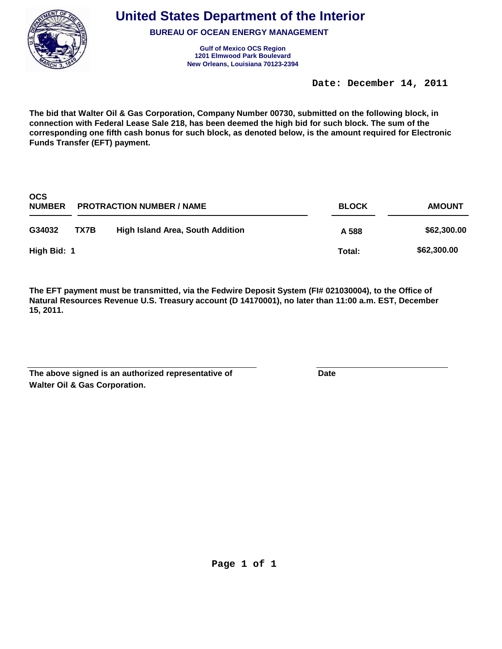

**BUREAU OF OCEAN ENERGY MANAGEMENT**

**Gulf of Mexico OCS Region New Orleans, Louisiana 70123-2394 1201 Elmwood Park Boulevard**

**Date: December 14, 2011** 

**The bid that Walter Oil & Gas Corporation, Company Number 00730, submitted on the following block, in connection with Federal Lease Sale 218, has been deemed the high bid for such block. The sum of the corresponding one fifth cash bonus for such block, as denoted below, is the amount required for Electronic Funds Transfer (EFT) payment.**

| <b>OCS</b><br><b>NUMBER</b> | <b>PROTRACTION NUMBER / NAME</b> |                                  | <b>BLOCK</b> | <b>AMOUNT</b> |
|-----------------------------|----------------------------------|----------------------------------|--------------|---------------|
| G34032                      | TX7B                             | High Island Area, South Addition | A 588        | \$62,300.00   |
| High Bid: 1                 |                                  |                                  | Total:       | \$62,300.00   |

| The above signed is an authorized representative of | Date |
|-----------------------------------------------------|------|
| <b>Walter Oil &amp; Gas Corporation.</b>            |      |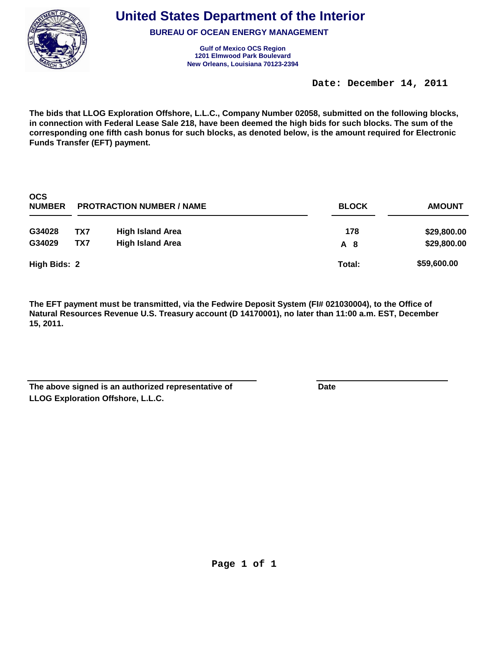

**BUREAU OF OCEAN ENERGY MANAGEMENT**

**Gulf of Mexico OCS Region New Orleans, Louisiana 70123-2394 1201 Elmwood Park Boulevard**

**Date: December 14, 2011** 

**The bids that LLOG Exploration Offshore, L.L.C., Company Number 02058, submitted on the following blocks, in connection with Federal Lease Sale 218, have been deemed the high bids for such blocks. The sum of the corresponding one fifth cash bonus for such blocks, as denoted below, is the amount required for Electronic Funds Transfer (EFT) payment.**

| <b>OCS</b><br><b>NUMBER</b> | <b>PROTRACTION NUMBER / NAME</b> |                         | <b>BLOCK</b> | <b>AMOUNT</b> |  |
|-----------------------------|----------------------------------|-------------------------|--------------|---------------|--|
| G34028                      | TX7                              | <b>High Island Area</b> | 178          | \$29,800.00   |  |
| G34029                      | TX7                              | <b>High Island Area</b> | A 8          | \$29,800.00   |  |
| High Bids: 2                |                                  |                         | Total:       | \$59,600.00   |  |

| The above signed is an authorized representative of | Date |
|-----------------------------------------------------|------|
| LLOG Exploration Offshore, L.L.C.                   |      |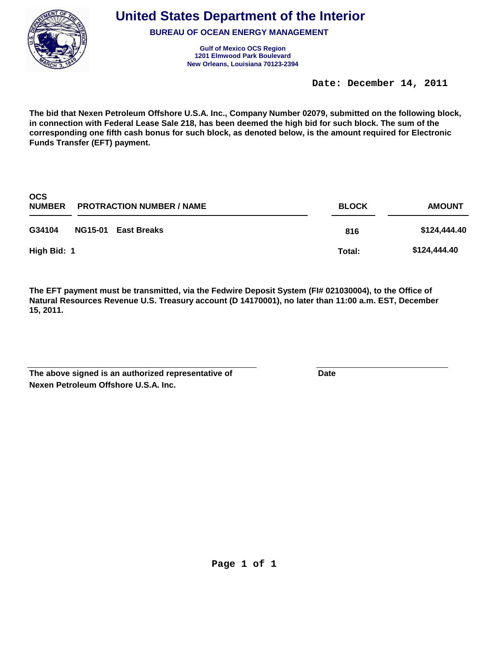

**BUREAU OF OCEAN ENERGY MANAGEMENT**

**Gulf of Mexico OCS Region New Orleans, Louisiana 70123-2394 1201 Elmwood Park Boulevard**

**Date: December 14, 2011** 

**The bid that Nexen Petroleum Offshore U.S.A. Inc., Company Number 02079, submitted on the following block, in connection with Federal Lease Sale 218, has been deemed the high bid for such block. The sum of the corresponding one fifth cash bonus for such block, as denoted below, is the amount required for Electronic Funds Transfer (EFT) payment.**

| <b>OCS</b><br><b>NUMBER</b> | <b>PROTRACTION NUMBER / NAME</b> | <b>BLOCK</b> | <b>AMOUNT</b> |  |
|-----------------------------|----------------------------------|--------------|---------------|--|
| G34104                      | NG15-01 East Breaks              | 816          | \$124,444.40  |  |
| High Bid: 1                 |                                  | Total:       | \$124,444.40  |  |

**The EFT payment must be transmitted, via the Fedwire Deposit System (FI# 021030004), to the Office of Natural Resources Revenue U.S. Treasury account (D 14170001), no later than 11:00 a.m. EST, December 15, 2011.**

**Nexen Petroleum Offshore U.S.A. Inc.** The above signed is an authorized representative of **Date**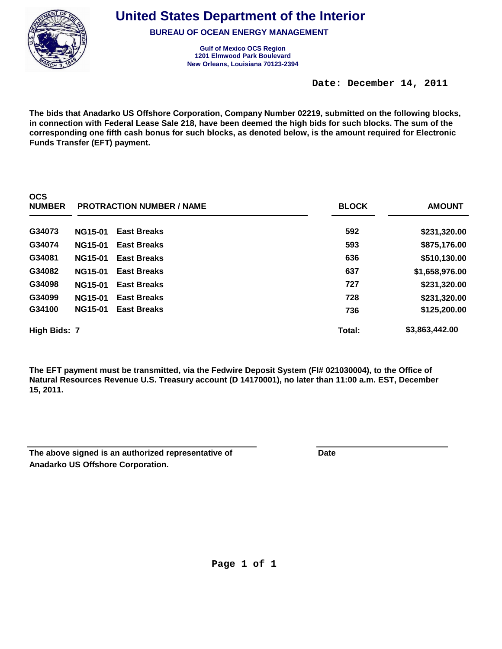

**United States Department of the Interior**

**BUREAU OF OCEAN ENERGY MANAGEMENT**

**Gulf of Mexico OCS Region New Orleans, Louisiana 70123-2394 1201 Elmwood Park Boulevard**

**Date: December 14, 2011** 

**The bids that Anadarko US Offshore Corporation, Company Number 02219, submitted on the following blocks, in connection with Federal Lease Sale 218, have been deemed the high bids for such blocks. The sum of the corresponding one fifth cash bonus for such blocks, as denoted below, is the amount required for Electronic Funds Transfer (EFT) payment.**

| ---<br><b>NUMBER</b> |                | <b>PROTRACTION NUMBER / NAME</b> | <b>BLOCK</b> | <b>AMOUNT</b>  |
|----------------------|----------------|----------------------------------|--------------|----------------|
| G34073               | <b>NG15-01</b> | <b>East Breaks</b>               | 592          | \$231,320.00   |
| G34074               | <b>NG15-01</b> | <b>East Breaks</b>               | 593          | \$875,176.00   |
| G34081               | <b>NG15-01</b> | <b>East Breaks</b>               | 636          | \$510,130.00   |
| G34082               | <b>NG15-01</b> | <b>East Breaks</b>               | 637          | \$1,658,976.00 |
| G34098               | <b>NG15-01</b> | <b>East Breaks</b>               | 727          | \$231,320.00   |
| G34099               | <b>NG15-01</b> | <b>East Breaks</b>               | 728          | \$231,320.00   |
| G34100               | <b>NG15-01</b> | <b>East Breaks</b>               | 736          | \$125,200.00   |
| High Bids: 7         |                |                                  | Total:       | \$3,863,442.00 |

| The above signed is an authorized representative of | Date |
|-----------------------------------------------------|------|
| Anadarko US Offshore Corporation.                   |      |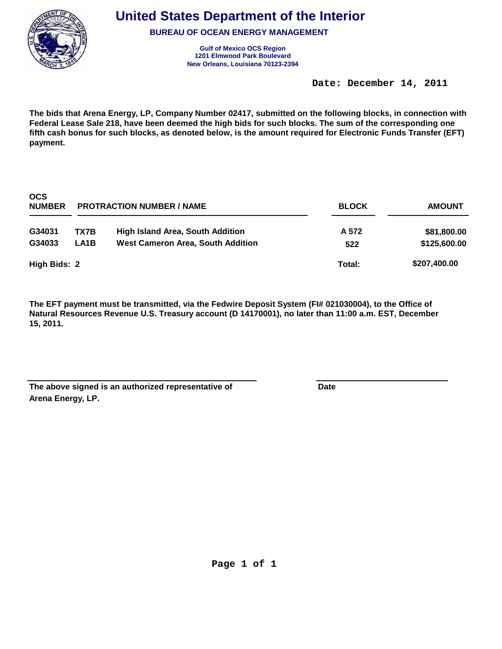

**BUREAU OF OCEAN ENERGY MANAGEMENT**

**Gulf of Mexico OCS Region New Orleans, Louisiana 70123-2394 1201 Elmwood Park Boulevard**

**Date: December 14, 2011** 

**The bids that Arena Energy, LP, Company Number 02417, submitted on the following blocks, in connection with Federal Lease Sale 218, have been deemed the high bids for such blocks. The sum of the corresponding one fifth cash bonus for such blocks, as denoted below, is the amount required for Electronic Funds Transfer (EFT) payment.**

| <b>OCS</b><br><b>NUMBER</b> | <b>PROTRACTION NUMBER / NAME</b> |                                          | <b>BLOCK</b> | <b>AMOUNT</b> |
|-----------------------------|----------------------------------|------------------------------------------|--------------|---------------|
| G34031                      | TX7B                             | <b>High Island Area, South Addition</b>  | A 572        | \$81,800.00   |
| G34033                      | LA1B                             | <b>West Cameron Area, South Addition</b> | 522          | \$125,600.00  |
| High Bids: 2                |                                  |                                          | Total:       | \$207,400.00  |

| The above signed is an authorized representative of | Date |
|-----------------------------------------------------|------|
| Arena Energy, LP.                                   |      |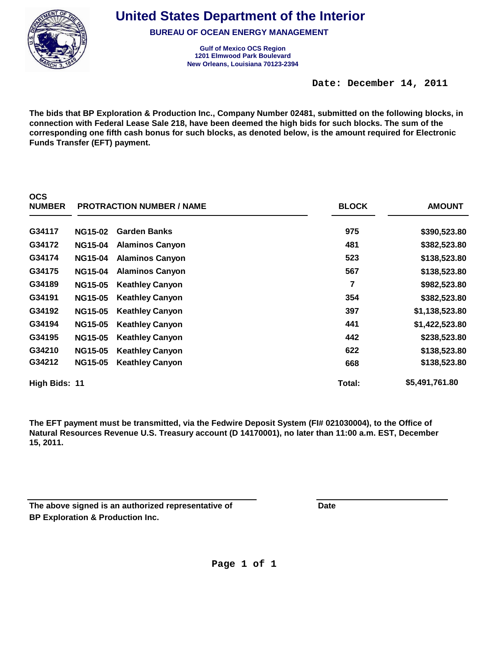

**United States Department of the Interior**

**BUREAU OF OCEAN ENERGY MANAGEMENT**

**Gulf of Mexico OCS Region New Orleans, Louisiana 70123-2394 1201 Elmwood Park Boulevard**

**Date: December 14, 2011** 

**The bids that BP Exploration & Production Inc., Company Number 02481, submitted on the following blocks, in connection with Federal Lease Sale 218, have been deemed the high bids for such blocks. The sum of the corresponding one fifth cash bonus for such blocks, as denoted below, is the amount required for Electronic Funds Transfer (EFT) payment.**

| <b>NUMBER</b> | <b>PROTRACTION NUMBER / NAME</b> |                        | <b>BLOCK</b> | <b>AMOUNT</b>  |  |
|---------------|----------------------------------|------------------------|--------------|----------------|--|
| G34117        | <b>NG15-02</b>                   | <b>Garden Banks</b>    | 975          | \$390,523.80   |  |
| G34172        | <b>NG15-04</b>                   | <b>Alaminos Canyon</b> | 481          | \$382,523.80   |  |
| G34174        | <b>NG15-04</b>                   | <b>Alaminos Canyon</b> | 523          | \$138,523.80   |  |
| G34175        | <b>NG15-04</b>                   | <b>Alaminos Canyon</b> | 567          | \$138,523.80   |  |
| G34189        | <b>NG15-05</b>                   | <b>Keathley Canyon</b> | 7            | \$982,523.80   |  |
| G34191        | <b>NG15-05</b>                   | <b>Keathley Canyon</b> | 354          | \$382,523.80   |  |
| G34192        | <b>NG15-05</b>                   | <b>Keathley Canyon</b> | 397          | \$1,138,523.80 |  |
| G34194        | <b>NG15-05</b>                   | <b>Keathley Canyon</b> | 441          | \$1,422,523.80 |  |
| G34195        | <b>NG15-05</b>                   | <b>Keathley Canyon</b> | 442          | \$238,523.80   |  |
| G34210        | <b>NG15-05</b>                   | <b>Keathley Canyon</b> | 622          | \$138,523.80   |  |
| G34212        | <b>NG15-05</b>                   | <b>Keathley Canyon</b> | 668          | \$138,523.80   |  |
| High Bids: 11 |                                  |                        | Total:       | \$5,491,761.80 |  |

| The above signed is an authorized representative of | Date |
|-----------------------------------------------------|------|
| <b>BP Exploration &amp; Production Inc.</b>         |      |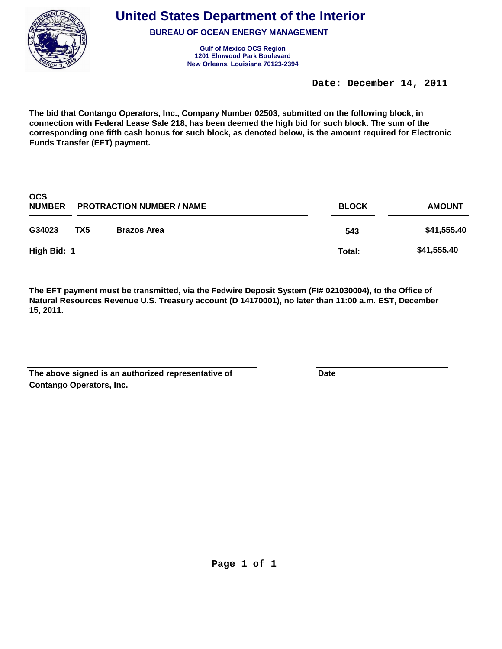

**BUREAU OF OCEAN ENERGY MANAGEMENT**

**Gulf of Mexico OCS Region New Orleans, Louisiana 70123-2394 1201 Elmwood Park Boulevard**

**Date: December 14, 2011** 

**The bid that Contango Operators, Inc., Company Number 02503, submitted on the following block, in connection with Federal Lease Sale 218, has been deemed the high bid for such block. The sum of the corresponding one fifth cash bonus for such block, as denoted below, is the amount required for Electronic Funds Transfer (EFT) payment.**

| <b>OCS</b><br><b>NUMBER</b> | <b>PROTRACTION NUMBER / NAME</b> |                    | <b>BLOCK</b> | <b>AMOUNT</b> |  |
|-----------------------------|----------------------------------|--------------------|--------------|---------------|--|
| G34023                      | TX5                              | <b>Brazos Area</b> | 543          | \$41,555.40   |  |
| High Bid: 1                 |                                  |                    | Total:       | \$41,555.40   |  |

| The above signed is an authorized representative of | Date |
|-----------------------------------------------------|------|
| Contango Operators, Inc.                            |      |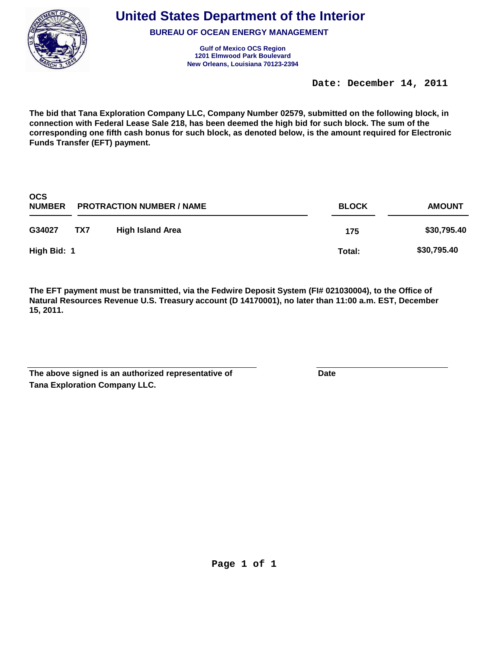

**BUREAU OF OCEAN ENERGY MANAGEMENT**

**Gulf of Mexico OCS Region New Orleans, Louisiana 70123-2394 1201 Elmwood Park Boulevard**

**Date: December 14, 2011** 

**The bid that Tana Exploration Company LLC, Company Number 02579, submitted on the following block, in connection with Federal Lease Sale 218, has been deemed the high bid for such block. The sum of the corresponding one fifth cash bonus for such block, as denoted below, is the amount required for Electronic Funds Transfer (EFT) payment.**

| <b>OCS</b><br><b>NUMBER</b> | <b>PROTRACTION NUMBER / NAME</b> |                         | <b>BLOCK</b> | <b>AMOUNT</b> |
|-----------------------------|----------------------------------|-------------------------|--------------|---------------|
| G34027                      | TX7                              | <b>High Island Area</b> | 175          | \$30,795.40   |
| High Bid: 1                 |                                  |                         | Total:       | \$30,795.40   |

| The above signed is an authorized representative of | Date |
|-----------------------------------------------------|------|
| <b>Tana Exploration Company LLC.</b>                |      |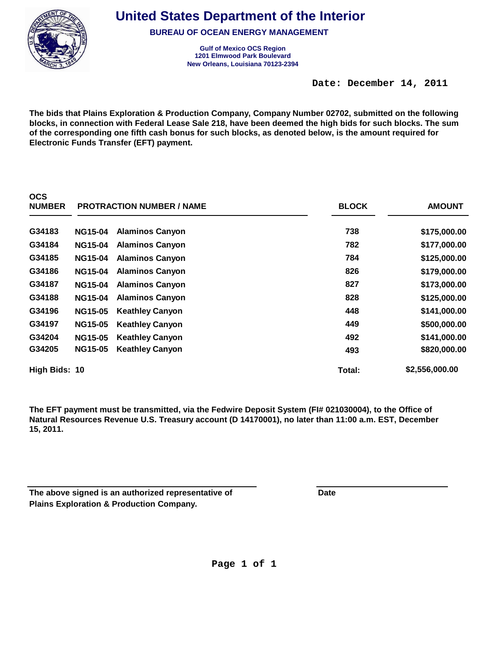

**United States Department of the Interior**

**BUREAU OF OCEAN ENERGY MANAGEMENT**

**Gulf of Mexico OCS Region New Orleans, Louisiana 70123-2394 1201 Elmwood Park Boulevard**

**Date: December 14, 2011** 

**The bids that Plains Exploration & Production Company, Company Number 02702, submitted on the following blocks, in connection with Federal Lease Sale 218, have been deemed the high bids for such blocks. The sum of the corresponding one fifth cash bonus for such blocks, as denoted below, is the amount required for Electronic Funds Transfer (EFT) payment.**

| <b>NUMBER</b> | <b>PROTRACTION NUMBER / NAME</b> |                        | <b>BLOCK</b> | <b>AMOUNT</b>  |  |
|---------------|----------------------------------|------------------------|--------------|----------------|--|
| G34183        | <b>NG15-04</b>                   | <b>Alaminos Canyon</b> | 738          | \$175,000.00   |  |
| G34184        | <b>NG15-04</b>                   | <b>Alaminos Canyon</b> | 782          | \$177,000.00   |  |
| G34185        | <b>NG15-04</b>                   | <b>Alaminos Canyon</b> | 784          | \$125,000.00   |  |
| G34186        | <b>NG15-04</b>                   | <b>Alaminos Canyon</b> | 826          | \$179,000.00   |  |
| G34187        | <b>NG15-04</b>                   | <b>Alaminos Canyon</b> | 827          | \$173,000.00   |  |
| G34188        | <b>NG15-04</b>                   | <b>Alaminos Canyon</b> | 828          | \$125,000.00   |  |
| G34196        | <b>NG15-05</b>                   | <b>Keathley Canyon</b> | 448          | \$141,000.00   |  |
| G34197        | <b>NG15-05</b>                   | <b>Keathley Canyon</b> | 449          | \$500,000.00   |  |
| G34204        | <b>NG15-05</b>                   | <b>Keathley Canyon</b> | 492          | \$141,000.00   |  |
| G34205        | <b>NG15-05</b>                   | <b>Keathley Canyon</b> | 493          | \$820,000.00   |  |
| High Bids: 10 |                                  |                        | Total:       | \$2,556,000.00 |  |

| The above signed is an authorized representative of | Date |
|-----------------------------------------------------|------|
| <b>Plains Exploration &amp; Production Company.</b> |      |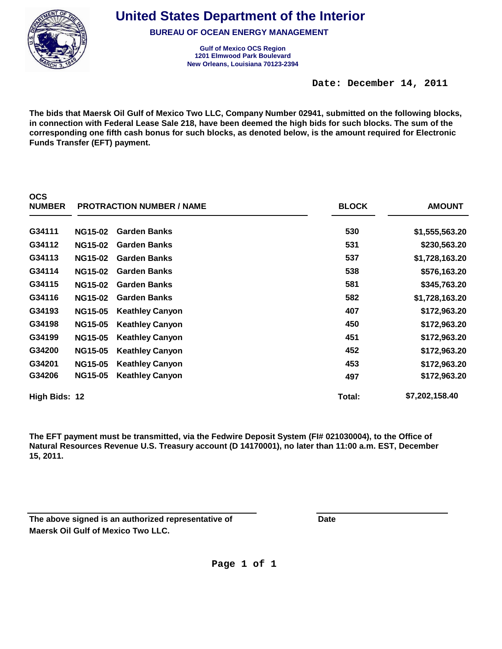

**United States Department of the Interior**

**BUREAU OF OCEAN ENERGY MANAGEMENT**

**Gulf of Mexico OCS Region New Orleans, Louisiana 70123-2394 1201 Elmwood Park Boulevard**

**Date: December 14, 2011** 

**The bids that Maersk Oil Gulf of Mexico Two LLC, Company Number 02941, submitted on the following blocks, in connection with Federal Lease Sale 218, have been deemed the high bids for such blocks. The sum of the corresponding one fifth cash bonus for such blocks, as denoted below, is the amount required for Electronic Funds Transfer (EFT) payment.**

| <b>NUMBER</b> | <b>PROTRACTION NUMBER / NAME</b> |                        | <b>BLOCK</b> | <b>AMOUNT</b>  |
|---------------|----------------------------------|------------------------|--------------|----------------|
| G34111        | <b>NG15-02</b>                   | <b>Garden Banks</b>    | 530          | \$1,555,563.20 |
| G34112        | <b>NG15-02</b>                   | <b>Garden Banks</b>    | 531          | \$230,563.20   |
| G34113        | <b>NG15-02</b>                   | <b>Garden Banks</b>    | 537          | \$1,728,163.20 |
| G34114        | <b>NG15-02</b>                   | <b>Garden Banks</b>    | 538          | \$576,163.20   |
| G34115        | <b>NG15-02</b>                   | <b>Garden Banks</b>    | 581          | \$345,763.20   |
| G34116        | <b>NG15-02</b>                   | <b>Garden Banks</b>    | 582          | \$1,728,163.20 |
| G34193        | <b>NG15-05</b>                   | <b>Keathley Canyon</b> | 407          | \$172,963.20   |
| G34198        | <b>NG15-05</b>                   | <b>Keathley Canyon</b> | 450          | \$172,963.20   |
| G34199        | <b>NG15-05</b>                   | <b>Keathley Canyon</b> | 451          | \$172,963.20   |
| G34200        | <b>NG15-05</b>                   | <b>Keathley Canyon</b> | 452          | \$172,963.20   |
| G34201        | <b>NG15-05</b>                   | <b>Keathley Canyon</b> | 453          | \$172,963.20   |
| G34206        | <b>NG15-05</b>                   | <b>Keathley Canyon</b> | 497          | \$172,963.20   |
| High Bids: 12 |                                  |                        | Total:       | \$7,202,158.40 |

**The EFT payment must be transmitted, via the Fedwire Deposit System (FI# 021030004), to the Office of Natural Resources Revenue U.S. Treasury account (D 14170001), no later than 11:00 a.m. EST, December 15, 2011.**

**Maersk Oil Gulf of Mexico Two LLC. The above signed is an authorized representative of Cassic Contract Particle Date**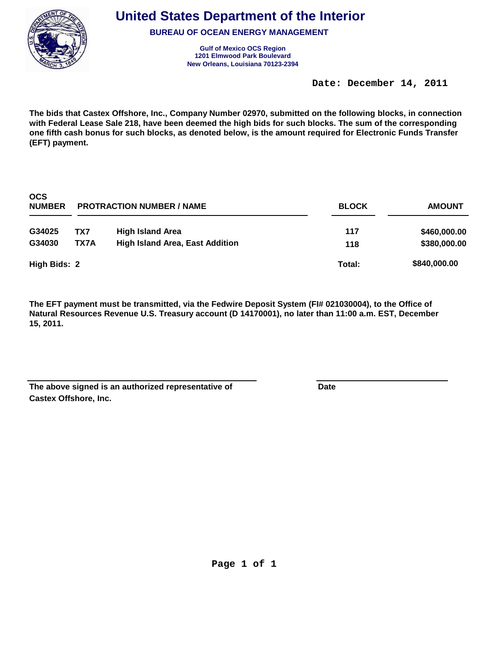

**BUREAU OF OCEAN ENERGY MANAGEMENT**

**Gulf of Mexico OCS Region New Orleans, Louisiana 70123-2394 1201 Elmwood Park Boulevard**

**Date: December 14, 2011** 

**The bids that Castex Offshore, Inc., Company Number 02970, submitted on the following blocks, in connection with Federal Lease Sale 218, have been deemed the high bids for such blocks. The sum of the corresponding one fifth cash bonus for such blocks, as denoted below, is the amount required for Electronic Funds Transfer (EFT) payment.**

| <b>OCS</b><br><b>NUMBER</b> | <b>PROTRACTION NUMBER / NAME</b> |                                        | <b>BLOCK</b> | <b>AMOUNT</b> |
|-----------------------------|----------------------------------|----------------------------------------|--------------|---------------|
| G34025                      | TX7                              | <b>High Island Area</b>                | 117          | \$460,000.00  |
| G34030                      | TX7A                             | <b>High Island Area, East Addition</b> | 118          | \$380,000.00  |
| High Bids: 2                |                                  |                                        | Total:       | \$840,000.00  |

| The above signed is an authorized representative of | Date |
|-----------------------------------------------------|------|
| <b>Castex Offshore, Inc.</b>                        |      |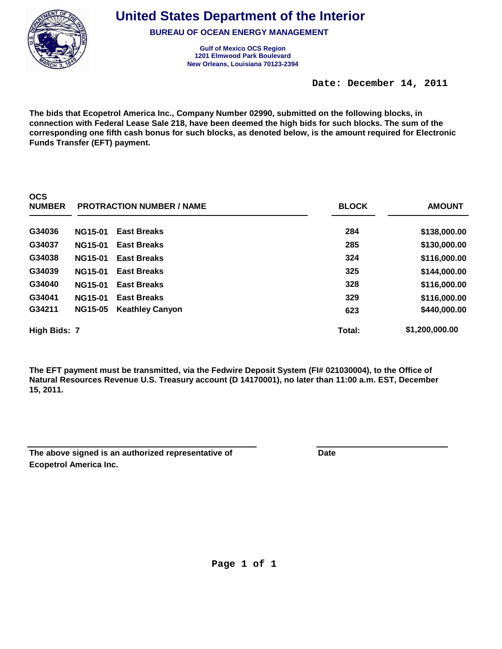

**United States Department of the Interior**

**BUREAU OF OCEAN ENERGY MANAGEMENT**

**Gulf of Mexico OCS Region New Orleans, Louisiana 70123-2394 1201 Elmwood Park Boulevard**

**Date: December 14, 2011** 

**The bids that Ecopetrol America Inc., Company Number 02990, submitted on the following blocks, in connection with Federal Lease Sale 218, have been deemed the high bids for such blocks. The sum of the corresponding one fifth cash bonus for such blocks, as denoted below, is the amount required for Electronic Funds Transfer (EFT) payment.**

| ◡◡◡<br><b>NUMBER</b> |                | <b>PROTRACTION NUMBER / NAME</b> | <b>BLOCK</b> | <b>AMOUNT</b>  |
|----------------------|----------------|----------------------------------|--------------|----------------|
| G34036               | <b>NG15-01</b> | <b>East Breaks</b>               | 284          | \$138,000.00   |
| G34037               | <b>NG15-01</b> | <b>East Breaks</b>               | 285          | \$130,000.00   |
| G34038               | <b>NG15-01</b> | <b>East Breaks</b>               | 324          | \$116,000.00   |
| G34039               | <b>NG15-01</b> | <b>East Breaks</b>               | 325          | \$144,000.00   |
| G34040               | <b>NG15-01</b> | <b>East Breaks</b>               | 328          | \$116,000.00   |
| G34041               | <b>NG15-01</b> | <b>East Breaks</b>               | 329          | \$116,000.00   |
| G34211               | <b>NG15-05</b> | <b>Keathley Canyon</b>           | 623          | \$440,000.00   |
| High Bids: 7         |                |                                  | Total:       | \$1,200,000.00 |

| The above signed is an authorized representative of | Date |
|-----------------------------------------------------|------|
| Ecopetrol America Inc.                              |      |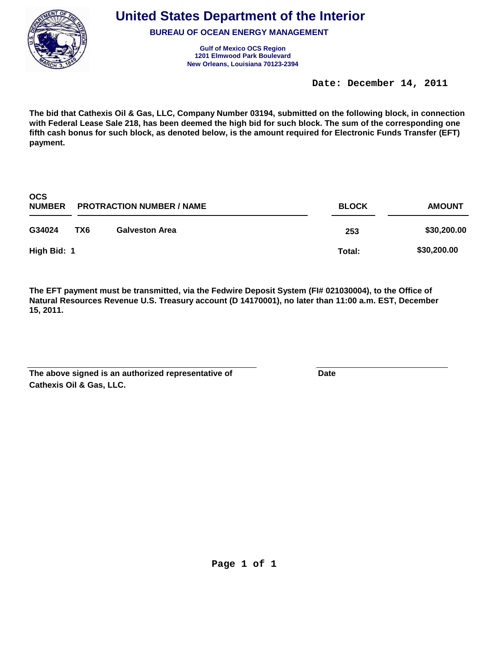

**BUREAU OF OCEAN ENERGY MANAGEMENT**

**Gulf of Mexico OCS Region New Orleans, Louisiana 70123-2394 1201 Elmwood Park Boulevard**

**Date: December 14, 2011** 

**The bid that Cathexis Oil & Gas, LLC, Company Number 03194, submitted on the following block, in connection with Federal Lease Sale 218, has been deemed the high bid for such block. The sum of the corresponding one fifth cash bonus for such block, as denoted below, is the amount required for Electronic Funds Transfer (EFT) payment.**

| <b>OCS</b><br><b>NUMBER</b> | <b>PROTRACTION NUMBER / NAME</b> |                       | <b>BLOCK</b> | <b>AMOUNT</b> |
|-----------------------------|----------------------------------|-----------------------|--------------|---------------|
| G34024                      | TX6                              | <b>Galveston Area</b> | 253          | \$30,200.00   |
| High Bid: 1                 |                                  |                       | Total:       | \$30,200.00   |

| The above signed is an authorized representative of | Date |
|-----------------------------------------------------|------|
| <b>Cathexis Oil &amp; Gas, LLC.</b>                 |      |